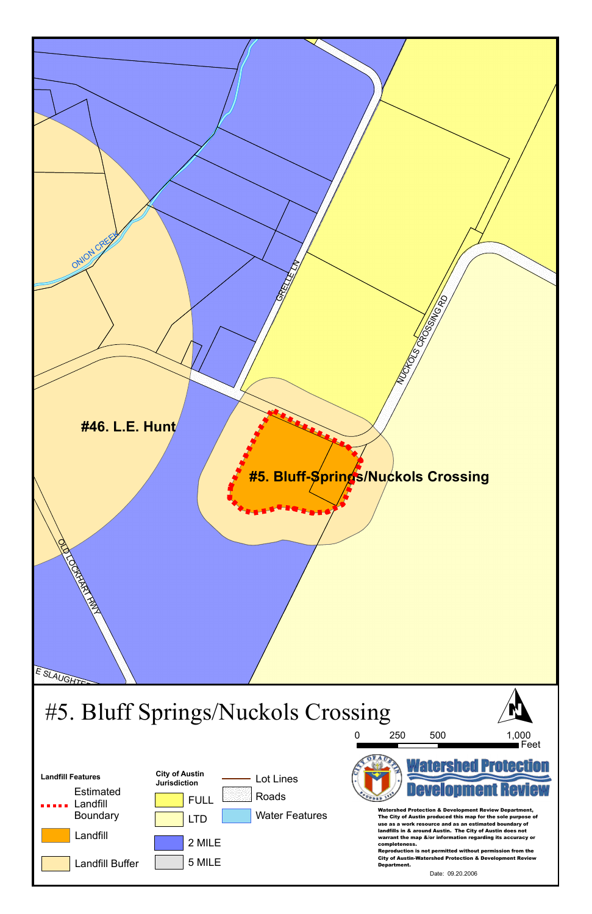